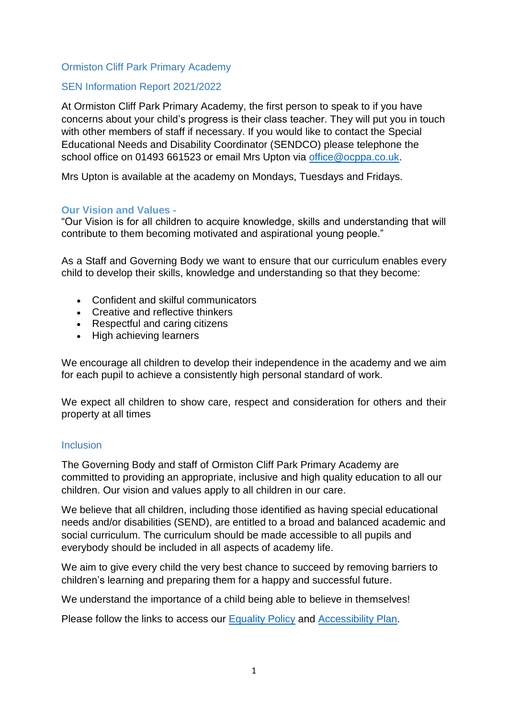#### Ormiston Cliff Park Primary Academy

#### SEN Information Report 2021/2022

At Ormiston Cliff Park Primary Academy, the first person to speak to if you have concerns about your child's progress is their class teacher. They will put you in touch with other members of staff if necessary. If you would like to contact the Special Educational Needs and Disability Coordinator (SENDCO) please telephone the school office on 01493 661523 or email Mrs Upton via [office@ocppa.co.uk.](mailto:office@ocppa.co.uk)

Mrs Upton is available at the academy on Mondays, Tuesdays and Fridays.

#### **Our Vision and Values -**

"Our Vision is for all children to acquire knowledge, skills and understanding that will contribute to them becoming motivated and aspirational young people."

As a Staff and Governing Body we want to ensure that our curriculum enables every child to develop their skills, knowledge and understanding so that they become:

- Confident and skilful communicators
- Creative and reflective thinkers
- Respectful and caring citizens
- High achieving learners

We encourage all children to develop their independence in the academy and we aim for each pupil to achieve a consistently high personal standard of work.

We expect all children to show care, respect and consideration for others and their property at all times

#### **Inclusion**

The Governing Body and staff of Ormiston Cliff Park Primary Academy are committed to providing an appropriate, inclusive and high quality education to all our children. Our vision and values apply to all children in our care.

We believe that all children, including those identified as having special educational needs and/or disabilities (SEND), are entitled to a broad and balanced academic and social curriculum. The curriculum should be made accessible to all pupils and everybody should be included in all aspects of academy life.

We aim to give every child the very best chance to succeed by removing barriers to children's learning and preparing them for a happy and successful future.

We understand the importance of a child being able to believe in themselves!

Please follow the links to access our [Equality Policy](https://ocppa.co.uk/admin/wp-content/uploads/sites/31/2021/05/OCPIA-Equality-Policy.pdf) and [Accessibility Plan.](https://ocppa.co.uk/admin/wp-content/uploads/sites/31/2021/11/OAT-Accessibility-Policy-Plan-2021-OCPPA-1-002.pdf)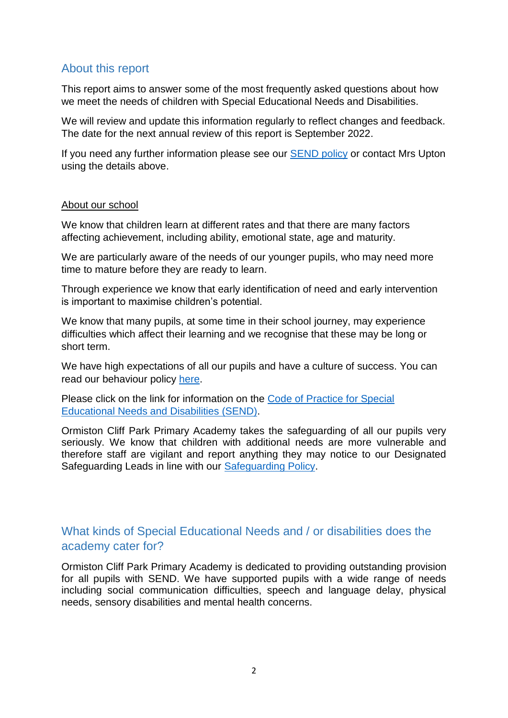## About this report

This report aims to answer some of the most frequently asked questions about how we meet the needs of children with Special Educational Needs and Disabilities.

We will review and update this information regularly to reflect changes and feedback. The date for the next annual review of this report is September 2022.

If you need any further information please see our [SEND policy](https://ocppa.co.uk/admin/wp-content/uploads/sites/31/2021/06/OAT-OCPPA-SEND-Policy.pdf) or contact Mrs Upton using the details above.

#### About our school

We know that children learn at different rates and that there are many factors affecting achievement, including ability, emotional state, age and maturity.

We are particularly aware of the needs of our younger pupils, who may need more time to mature before they are ready to learn.

Through experience we know that early identification of need and early intervention is important to maximise children's potential.

We know that many pupils, at some time in their school journey, may experience difficulties which affect their learning and we recognise that these may be long or short term.

We have high expectations of all our pupils and have a culture of success. You can read our behaviour policy [here.](https://ocppa.co.uk/admin/wp-content/uploads/sites/31/2021/06/OAT-OCPPA-Behaviour-for-Learning-Policy.pdf)

Please click on the link for information on the [Code of Practice for Special](https://www.gov.uk/government/publications/send-code-of-practice-0-to-25)  [Educational Needs and Disabilities \(SEND\).](https://www.gov.uk/government/publications/send-code-of-practice-0-to-25)

Ormiston Cliff Park Primary Academy takes the safeguarding of all our pupils very seriously. We know that children with additional needs are more vulnerable and therefore staff are vigilant and report anything they may notice to our Designated Safeguarding Leads in line with our [Safeguarding Policy.](https://ocppa.co.uk/admin/wp-content/uploads/sites/31/2021/07/OCPPA-Admission-Policy-2021-22.pdf)

## What kinds of Special Educational Needs and / or disabilities does the academy cater for?

Ormiston Cliff Park Primary Academy is dedicated to providing outstanding provision for all pupils with SEND. We have supported pupils with a wide range of needs including social communication difficulties, speech and language delay, physical needs, sensory disabilities and mental health concerns.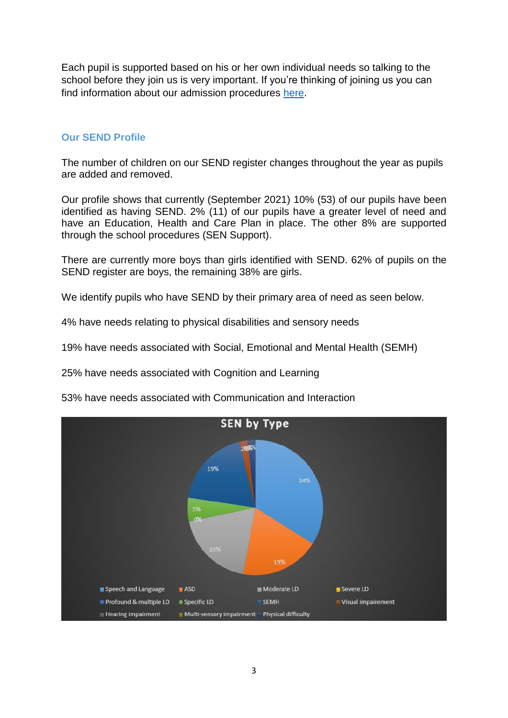Each pupil is supported based on his or her own individual needs so talking to the school before they join us is very important. If you're thinking of joining us you can find information about our admission procedures [here.](https://ocppa.co.uk/admin/wp-content/uploads/sites/31/2021/07/OCPPA-Admission-Policy-2021-22.pdf)

#### **Our SEND Profile**

The number of children on our SEND register changes throughout the year as pupils are added and removed.

Our profile shows that currently (September 2021) 10% (53) of our pupils have been identified as having SEND. 2% (11) of our pupils have a greater level of need and have an Education, Health and Care Plan in place. The other 8% are supported through the school procedures (SEN Support).

There are currently more boys than girls identified with SEND. 62% of pupils on the SEND register are boys, the remaining 38% are girls.

We identify pupils who have SEND by their primary area of need as seen below.

4% have needs relating to physical disabilities and sensory needs

19% have needs associated with Social, Emotional and Mental Health (SEMH)

25% have needs associated with Cognition and Learning

53% have needs associated with Communication and Interaction

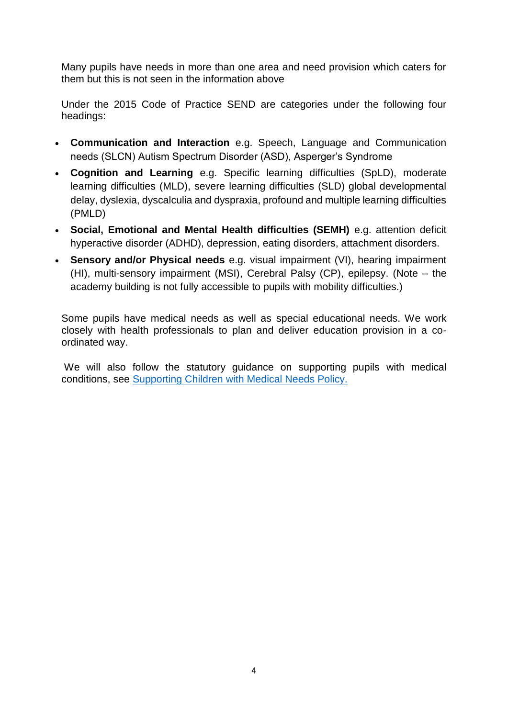Many pupils have needs in more than one area and need provision which caters for them but this is not seen in the information above

Under the 2015 Code of Practice SEND are categories under the following four headings:

- **Communication and Interaction** e.g. Speech, Language and Communication needs (SLCN) Autism Spectrum Disorder (ASD), Asperger's Syndrome
- **Cognition and Learning** e.g. Specific learning difficulties (SpLD), moderate learning difficulties (MLD), severe learning difficulties (SLD) global developmental delay, dyslexia, dyscalculia and dyspraxia, profound and multiple learning difficulties (PMLD)
- **Social, Emotional and Mental Health difficulties (SEMH)** e.g. attention deficit hyperactive disorder (ADHD), depression, eating disorders, attachment disorders.
- **Sensory and/or Physical needs** e.g. visual impairment (VI), hearing impairment (HI), multi-sensory impairment (MSI), Cerebral Palsy (CP), epilepsy. (Note – the academy building is not fully accessible to pupils with mobility difficulties.)

Some pupils have medical needs as well as special educational needs. We work closely with health professionals to plan and deliver education provision in a coordinated way.

We will also follow the statutory guidance on supporting pupils with medical conditions, see [Supporting Children with Medical Needs Policy.](https://ocppa.co.uk/admin/wp-content/uploads/sites/31/2021/06/OAT-OCPPA-Supporting-Students-With-Medical-Needs-Policy.pdf)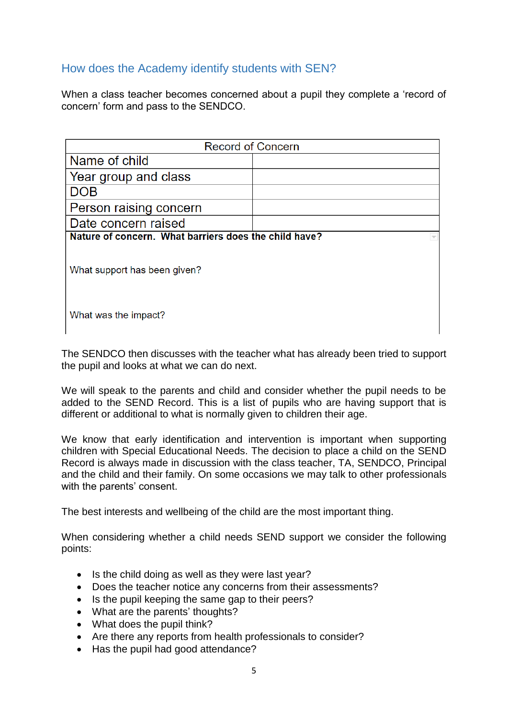## How does the Academy identify students with SEN?

When a class teacher becomes concerned about a pupil they complete a 'record of concern' form and pass to the SENDCO.

| <b>Record of Concern</b>                              |  |  |  |
|-------------------------------------------------------|--|--|--|
| Name of child                                         |  |  |  |
| Year group and class                                  |  |  |  |
| DOB                                                   |  |  |  |
| Person raising concern                                |  |  |  |
| Date concern raised                                   |  |  |  |
| Nature of concern. What barriers does the child have? |  |  |  |
| What support has been given?                          |  |  |  |
| What was the impact?                                  |  |  |  |

The SENDCO then discusses with the teacher what has already been tried to support the pupil and looks at what we can do next.

We will speak to the parents and child and consider whether the pupil needs to be added to the SEND Record. This is a list of pupils who are having support that is different or additional to what is normally given to children their age.

We know that early identification and intervention is important when supporting children with Special Educational Needs. The decision to place a child on the SEND Record is always made in discussion with the class teacher, TA, SENDCO, Principal and the child and their family. On some occasions we may talk to other professionals with the parents' consent.

The best interests and wellbeing of the child are the most important thing.

When considering whether a child needs SEND support we consider the following points:

- Is the child doing as well as they were last year?
- Does the teacher notice any concerns from their assessments?
- Is the pupil keeping the same gap to their peers?
- What are the parents' thoughts?
- What does the pupil think?
- Are there any reports from health professionals to consider?
- Has the pupil had good attendance?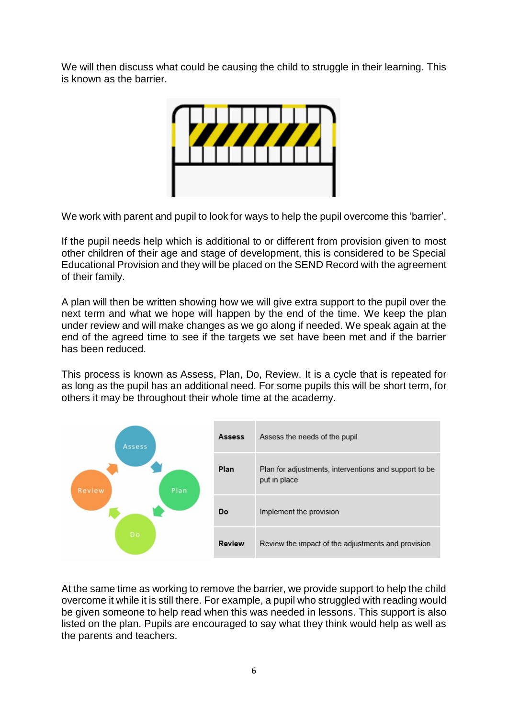We will then discuss what could be causing the child to struggle in their learning. This is known as the barrier.



We work with parent and pupil to look for ways to help the pupil overcome this 'barrier'.

If the pupil needs help which is additional to or different from provision given to most other children of their age and stage of development, this is considered to be Special Educational Provision and they will be placed on the SEND Record with the agreement of their family.

A plan will then be written showing how we will give extra support to the pupil over the next term and what we hope will happen by the end of the time. We keep the plan under review and will make changes as we go along if needed. We speak again at the end of the agreed time to see if the targets we set have been met and if the barrier has been reduced.

This process is known as Assess, Plan, Do, Review. It is a cycle that is repeated for as long as the pupil has an additional need. For some pupils this will be short term, for others it may be throughout their whole time at the academy.



At the same time as working to remove the barrier, we provide support to help the child overcome it while it is still there. For example, a pupil who struggled with reading would be given someone to help read when this was needed in lessons. This support is also listed on the plan. Pupils are encouraged to say what they think would help as well as the parents and teachers.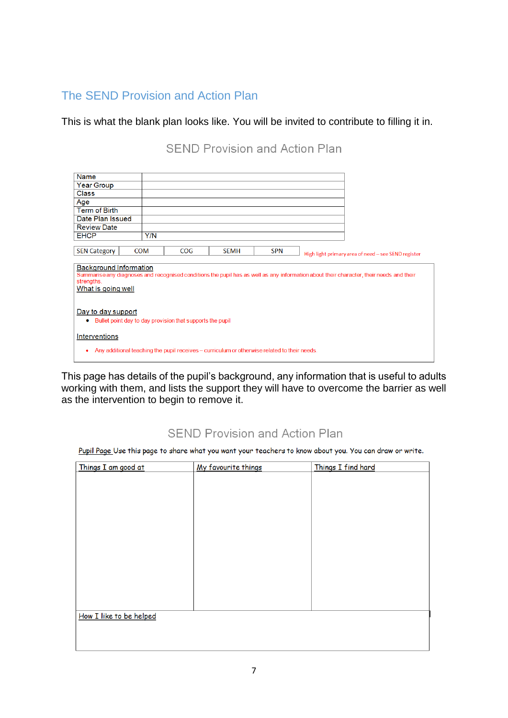# The SEND Provision and Action Plan

This is what the blank plan looks like. You will be invited to contribute to filling it in.

**SEND Provision and Action Plan** 

| <b>Name</b><br><b>Year Group</b><br><b>Class</b><br>Age<br><b>Term of Birth</b><br>Date Plan Issued<br><b>Review Date</b><br><b>EHCP</b><br>Y/N<br><b>SEN Category</b><br><b>COM</b><br>COG<br><b>SPN</b><br><b>SEMH</b><br>High light primary area of need - see SEND register<br><b>Background Information</b><br>Summarise any diagnoses and recognised conditions the pupil has as well as any information about their character, their needs and their<br>strengths.<br>What is going well |  |  |  |  |  |
|-------------------------------------------------------------------------------------------------------------------------------------------------------------------------------------------------------------------------------------------------------------------------------------------------------------------------------------------------------------------------------------------------------------------------------------------------------------------------------------------------|--|--|--|--|--|
|                                                                                                                                                                                                                                                                                                                                                                                                                                                                                                 |  |  |  |  |  |
|                                                                                                                                                                                                                                                                                                                                                                                                                                                                                                 |  |  |  |  |  |
|                                                                                                                                                                                                                                                                                                                                                                                                                                                                                                 |  |  |  |  |  |
|                                                                                                                                                                                                                                                                                                                                                                                                                                                                                                 |  |  |  |  |  |
|                                                                                                                                                                                                                                                                                                                                                                                                                                                                                                 |  |  |  |  |  |
|                                                                                                                                                                                                                                                                                                                                                                                                                                                                                                 |  |  |  |  |  |
|                                                                                                                                                                                                                                                                                                                                                                                                                                                                                                 |  |  |  |  |  |
|                                                                                                                                                                                                                                                                                                                                                                                                                                                                                                 |  |  |  |  |  |
|                                                                                                                                                                                                                                                                                                                                                                                                                                                                                                 |  |  |  |  |  |
|                                                                                                                                                                                                                                                                                                                                                                                                                                                                                                 |  |  |  |  |  |
|                                                                                                                                                                                                                                                                                                                                                                                                                                                                                                 |  |  |  |  |  |
|                                                                                                                                                                                                                                                                                                                                                                                                                                                                                                 |  |  |  |  |  |
|                                                                                                                                                                                                                                                                                                                                                                                                                                                                                                 |  |  |  |  |  |
|                                                                                                                                                                                                                                                                                                                                                                                                                                                                                                 |  |  |  |  |  |
|                                                                                                                                                                                                                                                                                                                                                                                                                                                                                                 |  |  |  |  |  |
|                                                                                                                                                                                                                                                                                                                                                                                                                                                                                                 |  |  |  |  |  |
| Day to day support                                                                                                                                                                                                                                                                                                                                                                                                                                                                              |  |  |  |  |  |
| Bullet point day to day provision that supports the pupil<br>۰                                                                                                                                                                                                                                                                                                                                                                                                                                  |  |  |  |  |  |
|                                                                                                                                                                                                                                                                                                                                                                                                                                                                                                 |  |  |  |  |  |
| Interventions                                                                                                                                                                                                                                                                                                                                                                                                                                                                                   |  |  |  |  |  |
|                                                                                                                                                                                                                                                                                                                                                                                                                                                                                                 |  |  |  |  |  |
| Any additional teaching the pupil receives – curriculum or otherwise related to their needs.<br>٠                                                                                                                                                                                                                                                                                                                                                                                               |  |  |  |  |  |
|                                                                                                                                                                                                                                                                                                                                                                                                                                                                                                 |  |  |  |  |  |

This page has details of the pupil's background, any information that is useful to adults working with them, and lists the support they will have to overcome the barrier as well as the intervention to begin to remove it.

# **SEND Provision and Action Plan**

Pupil Page Use this page to share what you want your teachers to know about you. You can draw or write.

| Things I am good at     | My favourite things | Things I find hard |  |  |  |
|-------------------------|---------------------|--------------------|--|--|--|
|                         |                     |                    |  |  |  |
|                         |                     |                    |  |  |  |
|                         |                     |                    |  |  |  |
|                         |                     |                    |  |  |  |
|                         |                     |                    |  |  |  |
|                         |                     |                    |  |  |  |
|                         |                     |                    |  |  |  |
|                         |                     |                    |  |  |  |
|                         |                     |                    |  |  |  |
|                         |                     |                    |  |  |  |
|                         |                     |                    |  |  |  |
|                         |                     |                    |  |  |  |
| How I like to be helped |                     |                    |  |  |  |
|                         |                     |                    |  |  |  |
|                         |                     |                    |  |  |  |
|                         |                     |                    |  |  |  |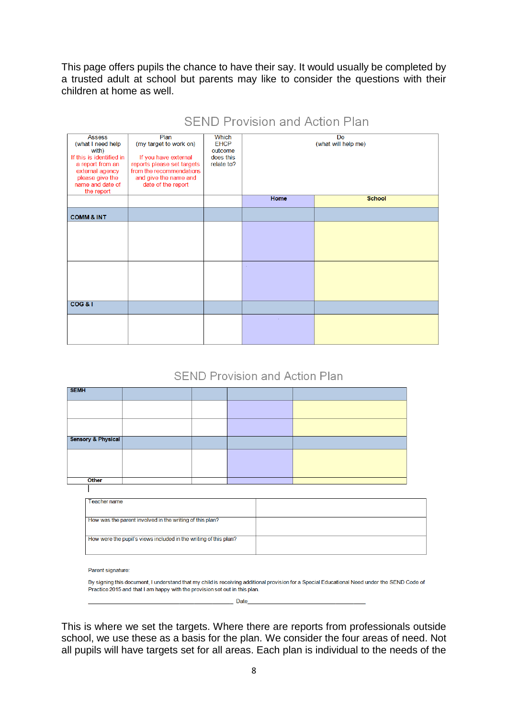This page offers pupils the chance to have their say. It would usually be completed by a trusted adult at school but parents may like to consider the questions with their children at home as well.

| <b>Assess</b><br>(what I need help<br>with)<br>If this is identified in<br>a report from an<br>external agency<br>please give the<br>name and date of<br>the report | Plan<br>(my target to work on)<br>If you have external<br>reports please set targets<br>from the recommendations<br>and give the name and<br>date of the report | <b>Which</b><br><b>EHCP</b><br>outcome<br>does this<br>relate to? | <b>Do</b><br>(what will help me) |               |
|---------------------------------------------------------------------------------------------------------------------------------------------------------------------|-----------------------------------------------------------------------------------------------------------------------------------------------------------------|-------------------------------------------------------------------|----------------------------------|---------------|
|                                                                                                                                                                     |                                                                                                                                                                 |                                                                   | Home                             | <b>School</b> |
| <b>COMM &amp; INT</b>                                                                                                                                               |                                                                                                                                                                 |                                                                   |                                  |               |
|                                                                                                                                                                     |                                                                                                                                                                 |                                                                   |                                  |               |
|                                                                                                                                                                     |                                                                                                                                                                 |                                                                   | $\sim$                           |               |
| COG &                                                                                                                                                               |                                                                                                                                                                 |                                                                   |                                  |               |
|                                                                                                                                                                     |                                                                                                                                                                 |                                                                   |                                  |               |

## SEND Provision and Action Plan

### **SEND Provision and Action Plan**

| <b>SEMH</b>        |  |  |  |  |
|--------------------|--|--|--|--|
|                    |  |  |  |  |
|                    |  |  |  |  |
| Sensory & Physical |  |  |  |  |
|                    |  |  |  |  |
|                    |  |  |  |  |
| Other              |  |  |  |  |
|                    |  |  |  |  |
| Teacher name       |  |  |  |  |

| 1 YAYI 191 TIMITIY                                               |  |
|------------------------------------------------------------------|--|
|                                                                  |  |
|                                                                  |  |
|                                                                  |  |
|                                                                  |  |
| How was the parent involved in the writing of this plan?         |  |
|                                                                  |  |
|                                                                  |  |
|                                                                  |  |
|                                                                  |  |
| How were the pupil's views included in the writing of this plan? |  |
|                                                                  |  |
|                                                                  |  |
|                                                                  |  |
|                                                                  |  |

Parent signature:

By signing this document, I understand that my child is receiving additional provision for a Special Educational Need under the SEND Code of Practice 2015 and that I am happy with the provision set out in this plan.

Date

This is where we set the targets. Where there are reports from professionals outside school, we use these as a basis for the plan. We consider the four areas of need. Not all pupils will have targets set for all areas. Each plan is individual to the needs of the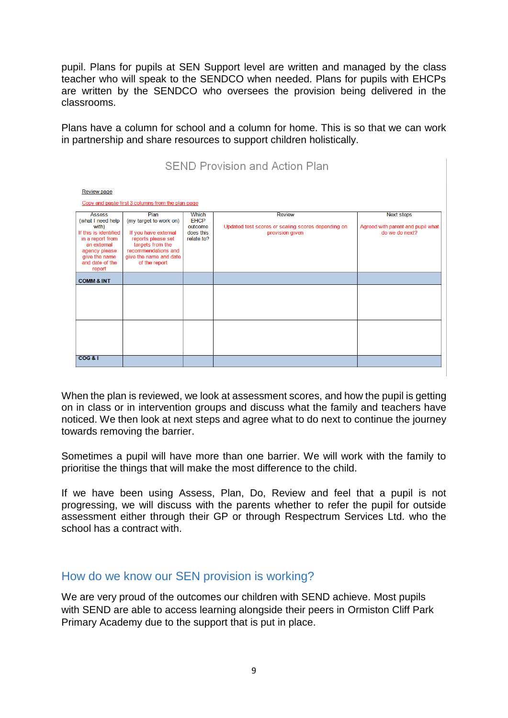pupil. Plans for pupils at SEN Support level are written and managed by the class teacher who will speak to the SENDCO when needed. Plans for pupils with EHCPs are written by the SENDCO who oversees the provision being delivered in the classrooms.

Plans have a column for school and a column for home. This is so that we can work in partnership and share resources to support children holistically.

| <b>SEND Provision and Action Plan</b>                                                                                                                                  |                                                                                                                                                                    |                                                                   |                                                                                        |                                                                          |  |  |
|------------------------------------------------------------------------------------------------------------------------------------------------------------------------|--------------------------------------------------------------------------------------------------------------------------------------------------------------------|-------------------------------------------------------------------|----------------------------------------------------------------------------------------|--------------------------------------------------------------------------|--|--|
| <b>Review page</b><br>Copy and paste first 3 columns from the plan page                                                                                                |                                                                                                                                                                    |                                                                   |                                                                                        |                                                                          |  |  |
| <b>Assess</b><br>(what I need help<br>with)<br>If this is identified<br>in a report from<br>an external<br>agency please<br>give the name<br>and date of the<br>report | Plan<br>(my target to work on)<br>If you have external<br>reports please set<br>targets from the<br>recommendations and<br>give the name and date<br>of the report | <b>Which</b><br><b>EHCP</b><br>outcome<br>does this<br>relate to? | <b>Review</b><br>Updated test scores or scaling scores depending on<br>provision given | <b>Next steps</b><br>Agreed with parent and pupil what<br>do we do next? |  |  |
| <b>COMM &amp; INT</b>                                                                                                                                                  |                                                                                                                                                                    |                                                                   |                                                                                        |                                                                          |  |  |
| COG & I                                                                                                                                                                |                                                                                                                                                                    |                                                                   |                                                                                        |                                                                          |  |  |

When the plan is reviewed, we look at assessment scores, and how the pupil is getting on in class or in intervention groups and discuss what the family and teachers have noticed. We then look at next steps and agree what to do next to continue the journey towards removing the barrier.

Sometimes a pupil will have more than one barrier. We will work with the family to prioritise the things that will make the most difference to the child.

If we have been using Assess, Plan, Do, Review and feel that a pupil is not progressing, we will discuss with the parents whether to refer the pupil for outside assessment either through their GP or through Respectrum Services Ltd. who the school has a contract with.

### How do we know our SEN provision is working?

We are very proud of the outcomes our children with SEND achieve. Most pupils with SEND are able to access learning alongside their peers in Ormiston Cliff Park Primary Academy due to the support that is put in place.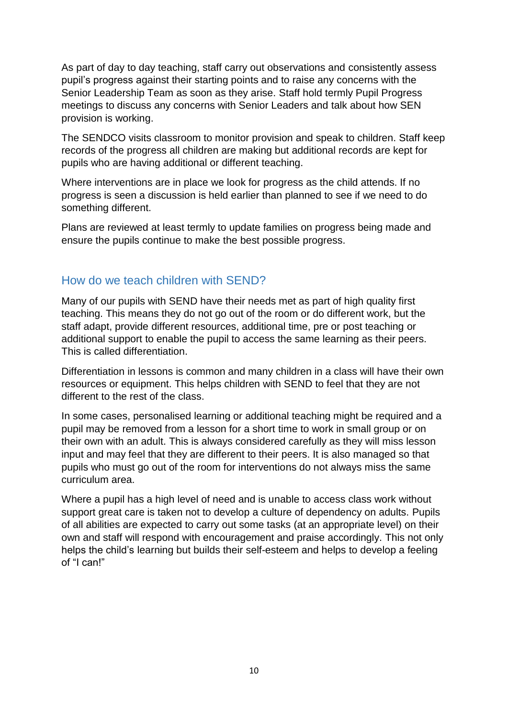As part of day to day teaching, staff carry out observations and consistently assess pupil's progress against their starting points and to raise any concerns with the Senior Leadership Team as soon as they arise. Staff hold termly Pupil Progress meetings to discuss any concerns with Senior Leaders and talk about how SEN provision is working.

The SENDCO visits classroom to monitor provision and speak to children. Staff keep records of the progress all children are making but additional records are kept for pupils who are having additional or different teaching.

Where interventions are in place we look for progress as the child attends. If no progress is seen a discussion is held earlier than planned to see if we need to do something different.

Plans are reviewed at least termly to update families on progress being made and ensure the pupils continue to make the best possible progress.

## How do we teach children with SEND?

Many of our pupils with SEND have their needs met as part of high quality first teaching. This means they do not go out of the room or do different work, but the staff adapt, provide different resources, additional time, pre or post teaching or additional support to enable the pupil to access the same learning as their peers. This is called differentiation.

Differentiation in lessons is common and many children in a class will have their own resources or equipment. This helps children with SEND to feel that they are not different to the rest of the class.

In some cases, personalised learning or additional teaching might be required and a pupil may be removed from a lesson for a short time to work in small group or on their own with an adult. This is always considered carefully as they will miss lesson input and may feel that they are different to their peers. It is also managed so that pupils who must go out of the room for interventions do not always miss the same curriculum area.

Where a pupil has a high level of need and is unable to access class work without support great care is taken not to develop a culture of dependency on adults. Pupils of all abilities are expected to carry out some tasks (at an appropriate level) on their own and staff will respond with encouragement and praise accordingly. This not only helps the child's learning but builds their self-esteem and helps to develop a feeling of "I can!"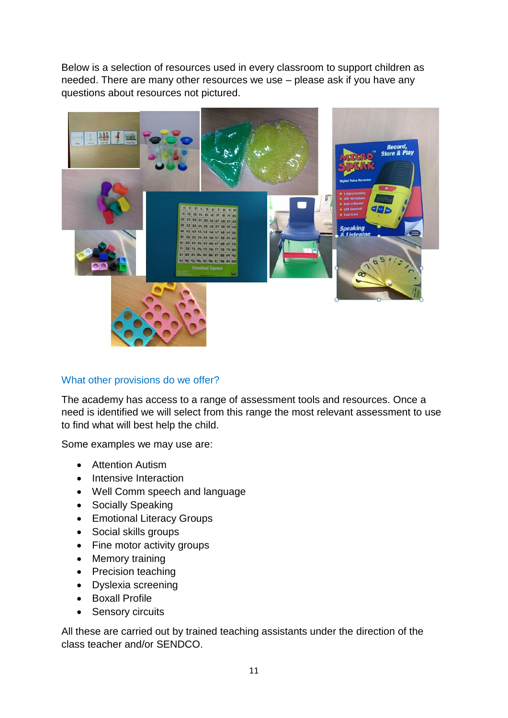Below is a selection of resources used in every classroom to support children as needed. There are many other resources we use – please ask if you have any questions about resources not pictured.



### What other provisions do we offer?

The academy has access to a range of assessment tools and resources. Once a need is identified we will select from this range the most relevant assessment to use to find what will best help the child.

Some examples we may use are:

- **Attention Autism**
- Intensive Interaction
- Well Comm speech and language
- Socially Speaking
- Emotional Literacy Groups
- Social skills groups
- Fine motor activity groups
- Memory training
- Precision teaching
- Dyslexia screening
- Boxall Profile
- Sensory circuits

All these are carried out by trained teaching assistants under the direction of the class teacher and/or SENDCO.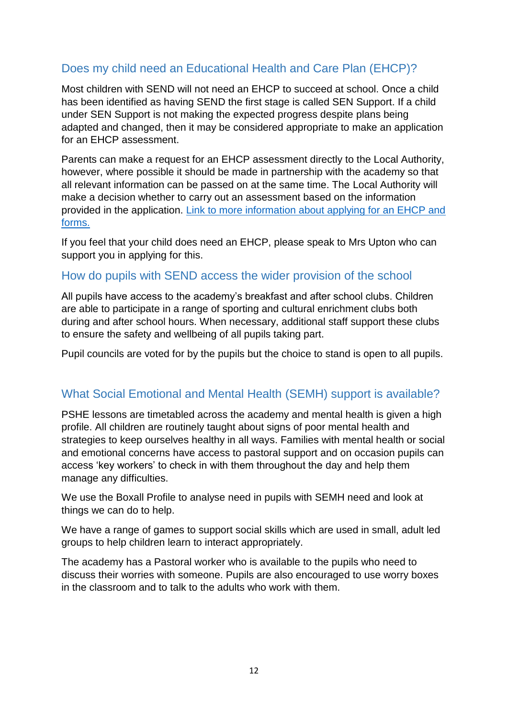# Does my child need an Educational Health and Care Plan (EHCP)?

Most children with SEND will not need an EHCP to succeed at school. Once a child has been identified as having SEND the first stage is called SEN Support. If a child under SEN Support is not making the expected progress despite plans being adapted and changed, then it may be considered appropriate to make an application for an EHCP assessment.

Parents can make a request for an EHCP assessment directly to the Local Authority, however, where possible it should be made in partnership with the academy so that all relevant information can be passed on at the same time. The Local Authority will make a decision whether to carry out an assessment based on the information provided in the application. [Link to more information about applying for an EHCP and](https://www.norfolk.gov.uk/children-and-families/send-local-offer/education-and-learning/support-for-learning/education-health-and-care-ehc-plans/ehc-needs-assessment-and-plans/ehc-needs-assessment-requests)  [forms.](https://www.norfolk.gov.uk/children-and-families/send-local-offer/education-and-learning/support-for-learning/education-health-and-care-ehc-plans/ehc-needs-assessment-and-plans/ehc-needs-assessment-requests)

If you feel that your child does need an EHCP, please speak to Mrs Upton who can support you in applying for this.

## How do pupils with SEND access the wider provision of the school

All pupils have access to the academy's breakfast and after school clubs. Children are able to participate in a range of sporting and cultural enrichment clubs both during and after school hours. When necessary, additional staff support these clubs to ensure the safety and wellbeing of all pupils taking part.

Pupil councils are voted for by the pupils but the choice to stand is open to all pupils.

## What Social Emotional and Mental Health (SEMH) support is available?

PSHE lessons are timetabled across the academy and mental health is given a high profile. All children are routinely taught about signs of poor mental health and strategies to keep ourselves healthy in all ways. Families with mental health or social and emotional concerns have access to pastoral support and on occasion pupils can access 'key workers' to check in with them throughout the day and help them manage any difficulties.

We use the Boxall Profile to analyse need in pupils with SEMH need and look at things we can do to help.

We have a range of games to support social skills which are used in small, adult led groups to help children learn to interact appropriately.

The academy has a Pastoral worker who is available to the pupils who need to discuss their worries with someone. Pupils are also encouraged to use worry boxes in the classroom and to talk to the adults who work with them.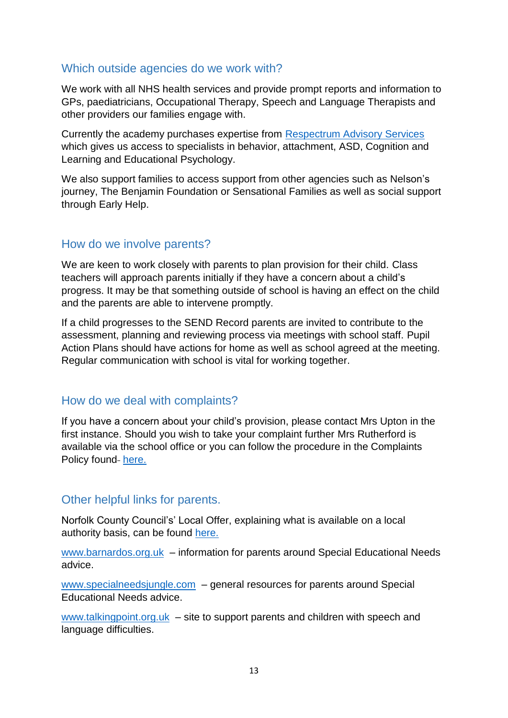## Which outside agencies do we work with?

We work with all NHS health services and provide prompt reports and information to GPs, paediatricians, Occupational Therapy, Speech and Language Therapists and other providers our families engage with.

Currently the academy purchases expertise from [Respectrum Advisory Services](https://respectrum.net/) which gives us access to specialists in behavior, attachment, ASD, Cognition and Learning and Educational Psychology.

We also support families to access support from other agencies such as Nelson's journey, The Benjamin Foundation or Sensational Families as well as social support through Early Help.

### How do we involve parents?

We are keen to work closely with parents to plan provision for their child. Class teachers will approach parents initially if they have a concern about a child's progress. It may be that something outside of school is having an effect on the child and the parents are able to intervene promptly.

If a child progresses to the SEND Record parents are invited to contribute to the assessment, planning and reviewing process via meetings with school staff. Pupil Action Plans should have actions for home as well as school agreed at the meeting. Regular communication with school is vital for working together.

## How do we deal with complaints?

If you have a concern about your child's provision, please contact Mrs Upton in the first instance. Should you wish to take your complaint further Mrs Rutherford is available via the school office or you can follow the procedure in the Complaints Policy found [here.](https://ocppa.co.uk/admin/wp-content/uploads/sites/31/2021/06/OAT-OCPPA-Complaints-Policy.pdf)

## Other helpful links for parents.

Norfolk County Council's' Local Offer, explaining what is available on a local authority basis, can be found [here.](https://www.norfolk.gov.uk/children-and-families/send-local-offer)

[www.barnardos.org.uk](http://www.barnardos.org.uk/) – information for parents around Special Educational Needs advice.

[www.specialneedsjungle.com](http://www.specialneedsjungle.com/) – general resources for parents around Special Educational Needs advice.

[www.talkingpoint.org.uk](http://www.talkingpoint.org.uk/) – site to support parents and children with speech and language difficulties.